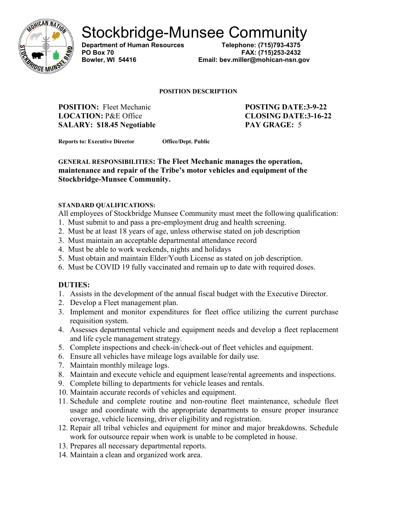

Stockbridge-Munsee Community<br>Department of Human Resources<br>Telephone: (715)793-4375

**Department of Human Resources** 

**PO Box 70 FAX: (715)253-2432 Bowler, WI 54416 Email: bev.miller@mohican-nsn.gov**

#### **POSITION DESCRIPTION**

**POSITION:** Fleet Mechanic **POSTING DATE:3-9-22 LOCATION:** P&E Office **CLOSING DATE:3-16-22 SALARY: \$18.45 Negotiable PAY GRAGE:** 5

**Reports to: Executive Director Office/Dept. Public** 

**GENERAL RESPONSIBILITIES: The Fleet Mechanic manages the operation, maintenance and repair of the Tribe's motor vehicles and equipment of the Stockbridge-Munsee Community.** 

#### **STANDARD QUALIFICATIONS:**

All employees of Stockbridge Munsee Community must meet the following qualification:

- 1. Must submit to and pass a pre-employment drug and health screening.
- 2. Must be at least 18 years of age, unless otherwise stated on job description
- 3. Must maintain an acceptable departmental attendance record
- 4. Must be able to work weekends, nights and holidays
- 5. Must obtain and maintain Elder/Youth License as stated on job description.
- 6. Must be COVID 19 fully vaccinated and remain up to date with required doses.

## **DUTIES:**

- 1. Assists in the development of the annual fiscal budget with the Executive Director.
- 2. Develop a Fleet management plan.
- 3. Implement and monitor expenditures for fleet office utilizing the current purchase requisition system.
- 4. Assesses departmental vehicle and equipment needs and develop a fleet replacement and life cycle management strategy.
- 5. Complete inspections and check-in/check-out of fleet vehicles and equipment.
- 6. Ensure all vehicles have mileage logs available for daily use.
- 7. Maintain monthly mileage logs.
- 8. Maintain and execute vehicle and equipment lease/rental agreements and inspections.
- 9. Complete billing to departments for vehicle leases and rentals.
- 10. Maintain accurate records of vehicles and equipment.
- 11. Schedule and complete routine and non-routine fleet maintenance, schedule fleet usage and coordinate with the appropriate departments to ensure proper insurance coverage, vehicle licensing, driver eligibility and registration.
- 12. Repair all tribal vehicles and equipment for minor and major breakdowns. Schedule work for outsource repair when work is unable to be completed in house.
- 13. Prepares all necessary departmental reports.
- 14. Maintain a clean and organized work area.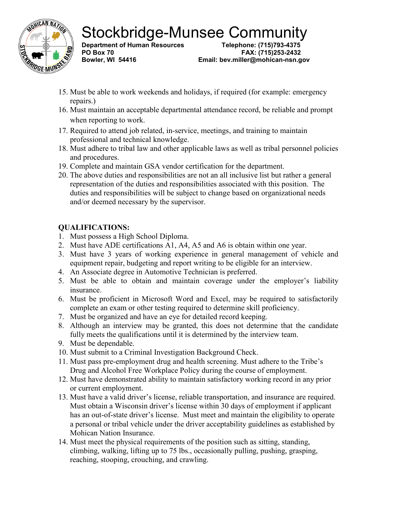

Stockbridge-Munsee Community<br>Department of Human Resources<br>Telephone: (715)793-4375

**Department of Human Resources** 

**PO Box 70 FAX: (715)253-2432 Bowler, WI 54416 Email: bev.miller@mohican-nsn.gov**

- 15. Must be able to work weekends and holidays, if required (for example: emergency repairs.)
- 16. Must maintain an acceptable departmental attendance record, be reliable and prompt when reporting to work.
- 17. Required to attend job related, in-service, meetings, and training to maintain professional and technical knowledge.
- 18. Must adhere to tribal law and other applicable laws as well as tribal personnel policies and procedures.
- 19. Complete and maintain GSA vendor certification for the department.
- 20. The above duties and responsibilities are not an all inclusive list but rather a general representation of the duties and responsibilities associated with this position. The duties and responsibilities will be subject to change based on organizational needs and/or deemed necessary by the supervisor.

# **QUALIFICATIONS:**

- 1. Must possess a High School Diploma.
- 2. Must have ADE certifications A1, A4, A5 and A6 is obtain within one year.
- 3. Must have 3 years of working experience in general management of vehicle and equipment repair, budgeting and report writing to be eligible for an interview.
- 4. An Associate degree in Automotive Technician is preferred.
- 5. Must be able to obtain and maintain coverage under the employer's liability insurance.
- 6. Must be proficient in Microsoft Word and Excel, may be required to satisfactorily complete an exam or other testing required to determine skill proficiency.
- 7. Must be organized and have an eye for detailed record keeping.
- 8. Although an interview may be granted, this does not determine that the candidate fully meets the qualifications until it is determined by the interview team.
- 9. Must be dependable.
- 10. Must submit to a Criminal Investigation Background Check.
- 11. Must pass pre-employment drug and health screening. Must adhere to the Tribe's Drug and Alcohol Free Workplace Policy during the course of employment.
- 12. Must have demonstrated ability to maintain satisfactory working record in any prior or current employment.
- 13. Must have a valid driver's license, reliable transportation, and insurance are required. Must obtain a Wisconsin driver's license within 30 days of employment if applicant has an out-of-state driver's license. Must meet and maintain the eligibility to operate a personal or tribal vehicle under the driver acceptability guidelines as established by Mohican Nation Insurance.
- 14. Must meet the physical requirements of the position such as sitting, standing, climbing, walking, lifting up to 75 lbs., occasionally pulling, pushing, grasping, reaching, stooping, crouching, and crawling.